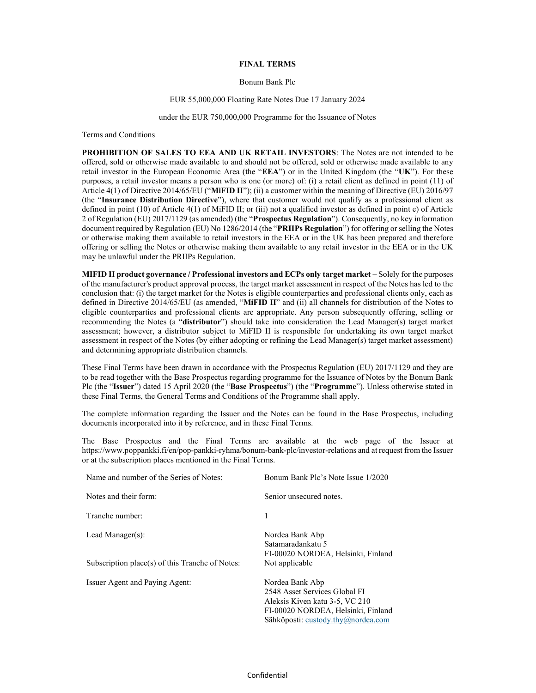## FINAL TERMS

# Bonum Bank Plc

### EUR 55,000,000 Floating Rate Notes Due 17 January 2024

#### under the EUR 750,000,000 Programme for the Issuance of Notes

Terms and Conditions

PROHIBITION OF SALES TO EEA AND UK RETAIL INVESTORS: The Notes are not intended to be offered, sold or otherwise made available to and should not be offered, sold or otherwise made available to any retail investor in the European Economic Area (the "EEA") or in the United Kingdom (the "UK"). For these purposes, a retail investor means a person who is one (or more) of: (i) a retail client as defined in point (11) of Article 4(1) of Directive 2014/65/EU ("MiFID II"); (ii) a customer within the meaning of Directive (EU) 2016/97 (the "Insurance Distribution Directive"), where that customer would not qualify as a professional client as defined in point (10) of Article 4(1) of MiFID II; or (iii) not a qualified investor as defined in point e) of Article 2 of Regulation (EU) 2017/1129 (as amended) (the "Prospectus Regulation"). Consequently, no key information document required by Regulation (EU) No 1286/2014 (the "PRIIPs Regulation") for offering or selling the Notes or otherwise making them available to retail investors in the EEA or in the UK has been prepared and therefore offering or selling the Notes or otherwise making them available to any retail investor in the EEA or in the UK may be unlawful under the PRIIPs Regulation.

MIFID II product governance / Professional investors and ECPs only target market – Solely for the purposes of the manufacturer's product approval process, the target market assessment in respect of the Notes has led to the conclusion that: (i) the target market for the Notes is eligible counterparties and professional clients only, each as defined in Directive 2014/65/EU (as amended, "MiFID II" and (ii) all channels for distribution of the Notes to eligible counterparties and professional clients are appropriate. Any person subsequently offering, selling or recommending the Notes (a "distributor") should take into consideration the Lead Manager(s) target market assessment; however, a distributor subject to MiFID II is responsible for undertaking its own target market assessment in respect of the Notes (by either adopting or refining the Lead Manager(s) target market assessment) and determining appropriate distribution channels.

These Final Terms have been drawn in accordance with the Prospectus Regulation (EU) 2017/1129 and they are to be read together with the Base Prospectus regarding programme for the Issuance of Notes by the Bonum Bank Plc (the "Issuer") dated 15 April 2020 (the "Base Prospectus") (the "Programme"). Unless otherwise stated in these Final Terms, the General Terms and Conditions of the Programme shall apply.

The complete information regarding the Issuer and the Notes can be found in the Base Prospectus, including documents incorporated into it by reference, and in these Final Terms.

The Base Prospectus and the Final Terms are available at the web page of the Issuer at https://www.poppankki.fi/en/pop-pankki-ryhma/bonum-bank-plc/investor-relations and at request from the Issuer or at the subscription places mentioned in the Final Terms.

| Name and number of the Series of Notes:         | Bonum Bank Plc's Note Issue 1/2020                                                                                                                             |
|-------------------------------------------------|----------------------------------------------------------------------------------------------------------------------------------------------------------------|
| Notes and their form:                           | Senior unsecured notes.                                                                                                                                        |
| Tranche number:                                 |                                                                                                                                                                |
| Lead Manager $(s)$ :                            | Nordea Bank Abp<br>Satamaradankatu 5<br>FI-00020 NORDEA, Helsinki, Finland                                                                                     |
| Subscription place(s) of this Tranche of Notes: | Not applicable                                                                                                                                                 |
| Issuer Agent and Paying Agent:                  | Nordea Bank Abp<br>2548 Asset Services Global FI<br>Aleksis Kiven katu 3-5, VC 210<br>FI-00020 NORDEA, Helsinki, Finland<br>Sähköposti: custody.thy@nordea.com |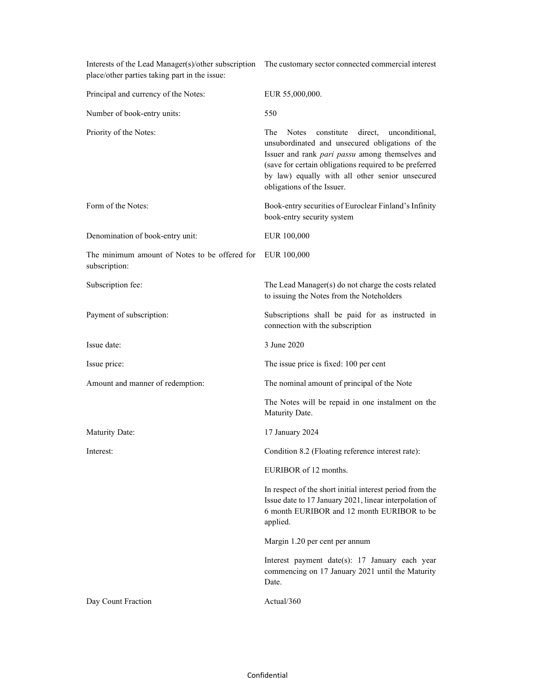| place/other parties taking part in the issue:                  | Interests of the Lead Manager(s)/other subscription The customary sector connected commercial interest                                                                                                                                                                                                          |
|----------------------------------------------------------------|-----------------------------------------------------------------------------------------------------------------------------------------------------------------------------------------------------------------------------------------------------------------------------------------------------------------|
| Principal and currency of the Notes:                           | EUR 55,000,000.                                                                                                                                                                                                                                                                                                 |
| Number of book-entry units:                                    | 550                                                                                                                                                                                                                                                                                                             |
| Priority of the Notes:                                         | The<br>constitute<br>direct,<br><b>Notes</b><br>unconditional,<br>unsubordinated and unsecured obligations of the<br>Issuer and rank pari passu among themselves and<br>(save for certain obligations required to be preferred<br>by law) equally with all other senior unsecured<br>obligations of the Issuer. |
| Form of the Notes:                                             | Book-entry securities of Euroclear Finland's Infinity<br>book-entry security system                                                                                                                                                                                                                             |
| Denomination of book-entry unit:                               | EUR 100,000                                                                                                                                                                                                                                                                                                     |
| The minimum amount of Notes to be offered for<br>subscription: | EUR 100,000                                                                                                                                                                                                                                                                                                     |
| Subscription fee:                                              | The Lead Manager(s) do not charge the costs related<br>to issuing the Notes from the Noteholders                                                                                                                                                                                                                |
| Payment of subscription:                                       | Subscriptions shall be paid for as instructed in<br>connection with the subscription                                                                                                                                                                                                                            |
| Issue date:                                                    | 3 June 2020                                                                                                                                                                                                                                                                                                     |
| Issue price:                                                   | The issue price is fixed: 100 per cent                                                                                                                                                                                                                                                                          |
| Amount and manner of redemption:                               | The nominal amount of principal of the Note                                                                                                                                                                                                                                                                     |
|                                                                | The Notes will be repaid in one instalment on the<br>Maturity Date.                                                                                                                                                                                                                                             |
| Maturity Date:                                                 | 17 January 2024                                                                                                                                                                                                                                                                                                 |
| Interest:                                                      | Condition 8.2 (Floating reference interest rate):                                                                                                                                                                                                                                                               |
|                                                                | EURIBOR of 12 months.                                                                                                                                                                                                                                                                                           |
|                                                                | In respect of the short initial interest period from the<br>Issue date to 17 January 2021, linear interpolation of<br>6 month EURIBOR and 12 month EURIBOR to be<br>applied.                                                                                                                                    |
|                                                                | Margin 1.20 per cent per annum                                                                                                                                                                                                                                                                                  |
|                                                                | Interest payment date(s): 17 January each year<br>commencing on 17 January 2021 until the Maturity<br>Date.                                                                                                                                                                                                     |
| Day Count Fraction                                             | Actual/360                                                                                                                                                                                                                                                                                                      |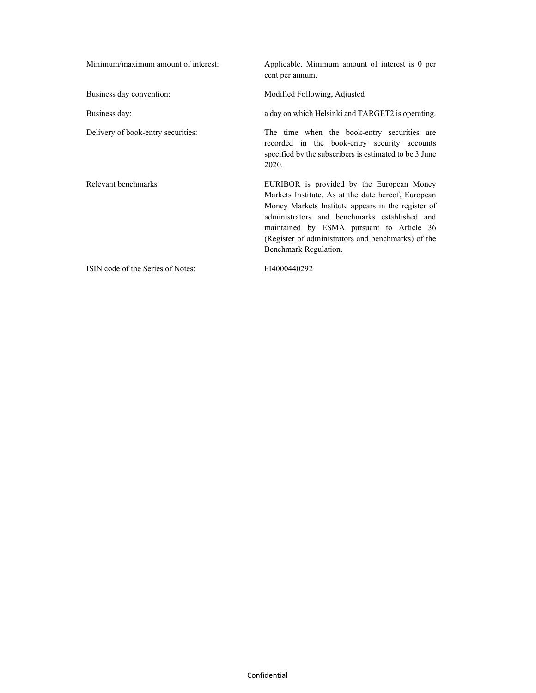| Minimum/maximum amount of interest: | Applicable. Minimum amount of interest is 0 per<br>cent per annum.                                                                                                                                                                                                                                                                 |
|-------------------------------------|------------------------------------------------------------------------------------------------------------------------------------------------------------------------------------------------------------------------------------------------------------------------------------------------------------------------------------|
| Business day convention:            | Modified Following, Adjusted                                                                                                                                                                                                                                                                                                       |
| Business day:                       | a day on which Helsinki and TARGET2 is operating.                                                                                                                                                                                                                                                                                  |
| Delivery of book-entry securities:  | The time when the book-entry securities are<br>recorded in the book-entry security accounts<br>specified by the subscribers is estimated to be 3 June<br>2020.                                                                                                                                                                     |
| Relevant benchmarks                 | EURIBOR is provided by the European Money<br>Markets Institute. As at the date hereof, European<br>Money Markets Institute appears in the register of<br>administrators and benchmarks established and<br>maintained by ESMA pursuant to Article 36<br>(Register of administrators and benchmarks) of the<br>Benchmark Regulation. |
| ISIN code of the Series of Notes:   | FI4000440292                                                                                                                                                                                                                                                                                                                       |